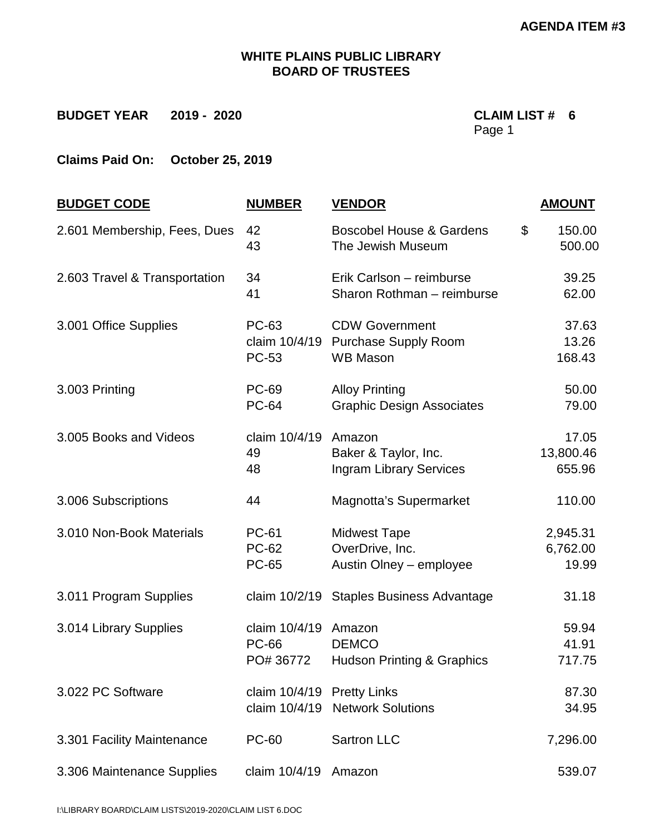## **WHITE PLAINS PUBLIC LIBRARY BOARD OF TRUSTEES**

**Claims Paid On: October 25, 2019** 

| <b>BUDGET CODE</b>            | <b>NUMBER</b>                                 | <b>VENDOR</b>                                                           | <b>AMOUNT</b>                 |
|-------------------------------|-----------------------------------------------|-------------------------------------------------------------------------|-------------------------------|
| 2.601 Membership, Fees, Dues  | 42<br>43                                      | <b>Boscobel House &amp; Gardens</b><br>The Jewish Museum                | \$<br>150.00<br>500.00        |
| 2.603 Travel & Transportation | 34<br>41                                      | Erik Carlson - reimburse<br>Sharon Rothman - reimburse                  | 39.25<br>62.00                |
| 3.001 Office Supplies         | <b>PC-63</b><br>claim 10/4/19<br><b>PC-53</b> | <b>CDW Government</b><br><b>Purchase Supply Room</b><br><b>WB Mason</b> | 37.63<br>13.26<br>168.43      |
| 3.003 Printing                | <b>PC-69</b><br><b>PC-64</b>                  | <b>Alloy Printing</b><br><b>Graphic Design Associates</b>               | 50.00<br>79.00                |
| 3.005 Books and Videos        | claim 10/4/19<br>49<br>48                     | Amazon<br>Baker & Taylor, Inc.<br><b>Ingram Library Services</b>        | 17.05<br>13,800.46<br>655.96  |
| 3.006 Subscriptions           | 44                                            | <b>Magnotta's Supermarket</b>                                           | 110.00                        |
| 3.010 Non-Book Materials      | <b>PC-61</b><br><b>PC-62</b><br><b>PC-65</b>  | <b>Midwest Tape</b><br>OverDrive, Inc.<br>Austin Olney - employee       | 2,945.31<br>6,762.00<br>19.99 |
| 3.011 Program Supplies        |                                               | claim 10/2/19 Staples Business Advantage                                | 31.18                         |
| 3.014 Library Supplies        | claim 10/4/19<br><b>PC-66</b><br>PO# 36772    | Amazon<br><b>DEMCO</b><br>Hudson Printing & Graphics                    | 59.94<br>41.91<br>717.75      |
| 3.022 PC Software             | claim 10/4/19 Pretty Links                    | claim 10/4/19 Network Solutions                                         | 87.30<br>34.95                |
| 3.301 Facility Maintenance    | <b>PC-60</b>                                  | <b>Sartron LLC</b>                                                      | 7,296.00                      |
| 3.306 Maintenance Supplies    | claim 10/4/19                                 | Amazon                                                                  | 539.07                        |